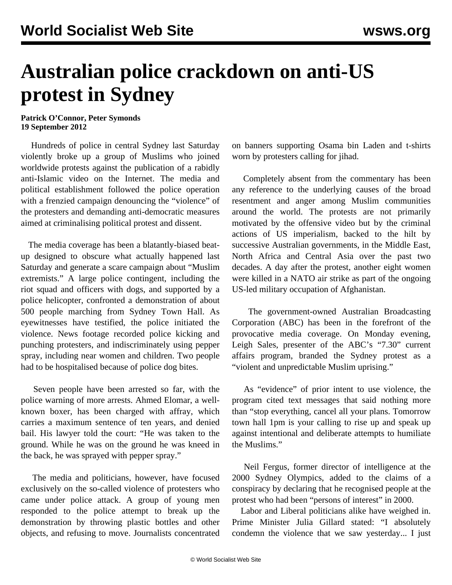## **Australian police crackdown on anti-US protest in Sydney**

**Patrick O'Connor, Peter Symonds 19 September 2012**

 Hundreds of police in central Sydney last Saturday violently broke up a group of Muslims who joined worldwide protests against the publication of a rabidly anti-Islamic video on the Internet. The media and political establishment followed the police operation with a frenzied campaign denouncing the "violence" of the protesters and demanding anti-democratic measures aimed at criminalising political protest and dissent.

 The media coverage has been a blatantly-biased beatup designed to obscure what actually happened last Saturday and generate a scare campaign about "Muslim extremists." A large police contingent, including the riot squad and officers with dogs, and supported by a police helicopter, confronted a demonstration of about 500 people marching from Sydney Town Hall. As eyewitnesses have testified, the police initiated the violence. News footage recorded police kicking and punching protesters, and indiscriminately using pepper spray, including near women and children. Two people had to be hospitalised because of police dog bites.

 Seven people have been arrested so far, with the police warning of more arrests. Ahmed Elomar, a wellknown boxer, has been charged with affray, which carries a maximum sentence of ten years, and denied bail. His lawyer told the court: "He was taken to the ground. While he was on the ground he was kneed in the back, he was sprayed with pepper spray."

 The media and politicians, however, have focused exclusively on the so-called violence of protesters who came under police attack. A group of young men responded to the police attempt to break up the demonstration by throwing plastic bottles and other objects, and refusing to move. Journalists concentrated on banners supporting Osama bin Laden and t-shirts worn by protesters calling for jihad.

 Completely absent from the commentary has been any reference to the underlying causes of the broad resentment and anger among Muslim communities around the world. The protests are not primarily motivated by the offensive video but by the criminal actions of US imperialism, backed to the hilt by successive Australian governments, in the Middle East, North Africa and Central Asia over the past two decades. A day after the protest, another eight women were killed in a NATO air strike as part of the ongoing US-led military occupation of Afghanistan.

 The government-owned Australian Broadcasting Corporation (ABC) has been in the forefront of the provocative media coverage. On Monday evening, Leigh Sales, presenter of the ABC's "7.30" current affairs program, branded the Sydney protest as a "violent and unpredictable Muslim uprising."

 As "evidence" of prior intent to use violence, the program cited text messages that said nothing more than "stop everything, cancel all your plans. Tomorrow town hall 1pm is your calling to rise up and speak up against intentional and deliberate attempts to humiliate the Muslims."

 Neil Fergus, former director of intelligence at the 2000 Sydney Olympics, added to the claims of a conspiracy by declaring that he recognised people at the protest who had been "persons of interest" in 2000.

 Labor and Liberal politicians alike have weighed in. Prime Minister Julia Gillard stated: "I absolutely condemn the violence that we saw yesterday... I just